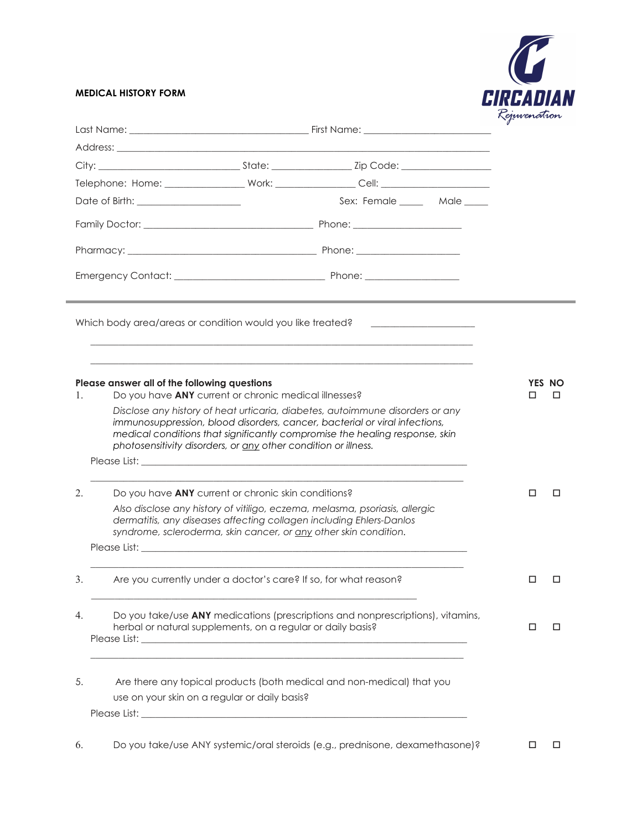## **MEDICAL HISTORY FORM**



|    |                                                                                                                                                                                                                                                                                                                                                                                                                       |                              | Rejuvenanion |             |
|----|-----------------------------------------------------------------------------------------------------------------------------------------------------------------------------------------------------------------------------------------------------------------------------------------------------------------------------------------------------------------------------------------------------------------------|------------------------------|--------------|-------------|
|    |                                                                                                                                                                                                                                                                                                                                                                                                                       |                              |              |             |
|    |                                                                                                                                                                                                                                                                                                                                                                                                                       |                              |              |             |
|    |                                                                                                                                                                                                                                                                                                                                                                                                                       | Sex: Female ______ Male ____ |              |             |
|    |                                                                                                                                                                                                                                                                                                                                                                                                                       |                              |              |             |
|    |                                                                                                                                                                                                                                                                                                                                                                                                                       |                              |              |             |
|    |                                                                                                                                                                                                                                                                                                                                                                                                                       |                              |              |             |
|    | Which body area/areas or condition would you like treated? _____________________                                                                                                                                                                                                                                                                                                                                      |                              |              |             |
| 1. | Please answer all of the following questions<br>Do you have ANY current or chronic medical illnesses?<br>Disclose any history of heat urticaria, diabetes, autoimmune disorders or any<br>immunosuppression, blood disorders, cancer, bacterial or viral infections,<br>medical conditions that significantly compromise the healing response, skin<br>photosensitivity disorders, or any other condition or illness. |                              | п            | YES NO<br>п |
|    |                                                                                                                                                                                                                                                                                                                                                                                                                       |                              |              |             |
| 2. | Do you have <b>ANY</b> current or chronic skin conditions?                                                                                                                                                                                                                                                                                                                                                            |                              | □            | П           |
|    | Also disclose any history of vitiligo, eczema, melasma, psoriasis, allergic<br>dermatitis, any diseases affecting collagen including Ehlers-Danlos<br>syndrome, scleroderma, skin cancer, or any other skin condition.                                                                                                                                                                                                |                              |              |             |
|    | Please List: North State Communication of the Communication of the Communication of the Communication of the Communication of the Communication of the Communication of the Communication of the Communication of the Communic                                                                                                                                                                                        |                              |              |             |
| 3. | Are you currently under a doctor's care? If so, for what reason?                                                                                                                                                                                                                                                                                                                                                      |                              | □            | □           |
| 4. | Do you take/use ANY medications (prescriptions and nonprescriptions), vitamins,<br>herbal or natural supplements, on a regular or daily basis?                                                                                                                                                                                                                                                                        |                              | □            | □           |
| 5. | Are there any topical products (both medical and non-medical) that you                                                                                                                                                                                                                                                                                                                                                |                              |              |             |
|    | use on your skin on a regular or daily basis?                                                                                                                                                                                                                                                                                                                                                                         |                              |              |             |
|    |                                                                                                                                                                                                                                                                                                                                                                                                                       |                              |              |             |
| 6. | Do you take/use ANY systemic/oral steroids (e.g., prednisone, dexamethasone)?                                                                                                                                                                                                                                                                                                                                         |                              | □            | □           |